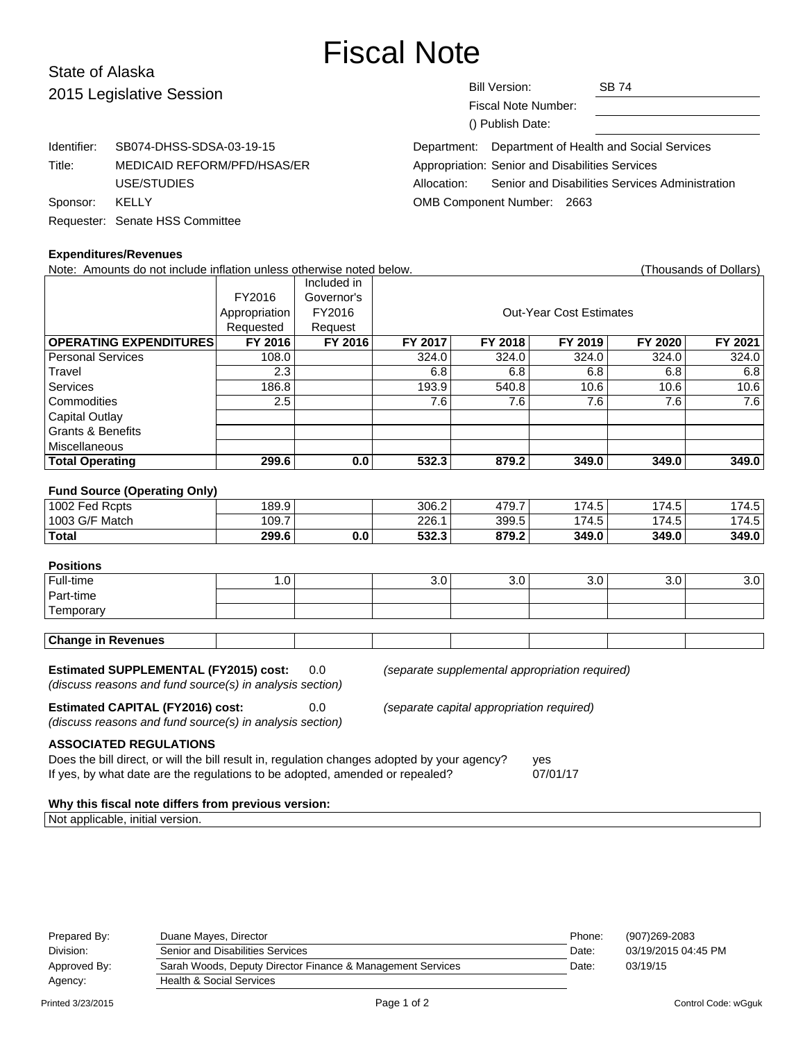# Fiscal Note

# State of Alaska 2015 Legisl

| 2015 Legislative Session |                                 | Bill Version:<br><b>SB 74</b><br><b>Fiscal Note Number:</b><br>() Publish Date: |
|--------------------------|---------------------------------|---------------------------------------------------------------------------------|
| Identifier:              | SB074-DHSS-SDSA-03-19-15        | Department of Health and Social Services<br>Department:                         |
| Title:                   | MEDICAID REFORM/PFD/HSAS/ER     | Appropriation: Senior and Disabilities Services                                 |
|                          | USE/STUDIES                     | Senior and Disabilities Services Administration<br>Allocation:                  |
| Sponsor:                 | KELLY                           | OMB Component Number: 2663                                                      |
|                          | Requester: Senate HSS Committee |                                                                                 |

#### **Expenditures/Revenues**

Note: Amounts do not include inflation unless otherwise noted below. Thousands of Dollars) (Thousands of Dollars) Included in FY2016 Governor's Appropriation FY2016 | Research Cut-Year Cost Estimates Requested Request<br>FY 2016 FY 2016 **OPERATING EXPENDITURES FY 2016 FY 2016 FY 2017 FY 2018 FY 2019 FY 2020 FY 2021** Personal Services 108.0 108.0 324.0 324.0 324.0 324.0 324.0 324.0 Travel | 2.3 | 6.8 | 6.8 | 6.8 | 6.8 | 6.8

| Total Operating              | 299.6    | 0.0 | 532.3 | 879.2 | 349.0 | 349.0 | 349.0 |
|------------------------------|----------|-----|-------|-------|-------|-------|-------|
| Miscellaneous                |          |     |       |       |       |       |       |
| <b>Grants &amp; Benefits</b> |          |     |       |       |       |       |       |
| <b>Capital Outlay</b>        |          |     |       |       |       |       |       |
| Commodities                  | 2.5      |     | 7.6   | 7.6   | . 6.  | .6    | 7.6   |
| Services                     | 186.8    |     | 193.9 | 540.8 | 10.6  | 10.6  | 10.6  |
|                              | <u>J</u> |     | v.v   | v.v   | v.v   | v.v   | ◡.◡   |

#### **Fund Source (Operating Only)**

| 1002 Fed Rcpts | 189.9 |     | 306.2          | 17Q 7<br>41 J.I | 174.5               | 174.5 | 74.5                   |
|----------------|-------|-----|----------------|-----------------|---------------------|-------|------------------------|
| 1003 G/F Match | 109.  |     | 226.1          | 399.5           | 174.5<br>$\sqrt{2}$ | 174.5 | 74.5<br>$\overline{ }$ |
| Total          | 299.6 | 0.0 | よつつ つ<br>วง∠.ง | 970.2<br>01 J.Z | 349.0               | 349.0 | 349.0                  |

# **Positions**

| Full-time                            | . .<br>$\cdot\cdot$ | $\overline{\phantom{0}}$<br>v.v | v.v | v.v | v.v | ~ ~<br>v.v |
|--------------------------------------|---------------------|---------------------------------|-----|-----|-----|------------|
| Part-time                            |                     |                                 |     |     |     |            |
| $\overline{\phantom{0}}$<br>emporary |                     |                                 |     |     |     |            |

**Estimated SUPPLEMENTAL (FY2015) cost:** 0.0 (separate supplemental appropriation required)

(discuss reasons and fund source(s) in analysis section)

**Estimated CAPITAL (FY2016) cost:** 0.0 (separate capital appropriation required)

(discuss reasons and fund source(s) in analysis section)

**ASSOCIATED REGULATIONS**

Does the bill direct, or will the bill result in, regulation changes adopted by your agency? yes If yes, by what date are the regulations to be adopted, amended or repealed? 07/01/17

#### **Why this fiscal note differs from previous version:**

Not applicable, initial version.

| Prepared By: | Duane Mayes, Director                                      | Phone: | (907)269-2083       |
|--------------|------------------------------------------------------------|--------|---------------------|
| Division:    | Senior and Disabilities Services                           | Date:  | 03/19/2015 04:45 PM |
| Approved By: | Sarah Woods, Deputy Director Finance & Management Services | Date:  | 03/19/15            |
| Agency:      | <b>Health &amp; Social Services</b>                        |        |                     |